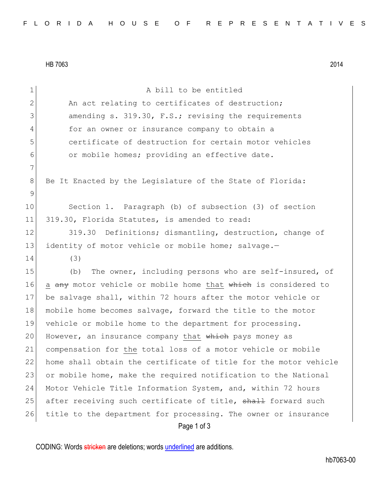HB 7063 2014

| $\mathbf 1$     | A bill to be entitled                                            |
|-----------------|------------------------------------------------------------------|
| $\mathbf{2}$    | An act relating to certificates of destruction;                  |
| 3               | amending s. 319.30, F.S.; revising the requirements              |
| 4               | for an owner or insurance company to obtain a                    |
| 5               | certificate of destruction for certain motor vehicles            |
| 6               | or mobile homes; providing an effective date.                    |
| 7               |                                                                  |
| 8               | Be It Enacted by the Legislature of the State of Florida:        |
| 9               |                                                                  |
| 10 <sub>o</sub> | Section 1. Paragraph (b) of subsection (3) of section            |
| 11              | 319.30, Florida Statutes, is amended to read:                    |
| 12              | 319.30 Definitions; dismantling, destruction, change of          |
| 13              | identity of motor vehicle or mobile home; salvage.-              |
| 14              | (3)                                                              |
| 15              | The owner, including persons who are self-insured, of<br>(b)     |
| 16              | a any motor vehicle or mobile home that which is considered to   |
| 17              | be salvage shall, within 72 hours after the motor vehicle or     |
| 18              | mobile home becomes salvage, forward the title to the motor      |
| 19              | vehicle or mobile home to the department for processing.         |
| 20              | However, an insurance company that which pays money as           |
| 21              | compensation for the total loss of a motor vehicle or mobile     |
| 22              | home shall obtain the certificate of title for the motor vehicle |
| 23              | or mobile home, make the required notification to the National   |
| 24              | Motor Vehicle Title Information System, and, within 72 hours     |
| 25              | after receiving such certificate of title, shall forward such    |
| 26              | title to the department for processing. The owner or insurance   |
|                 | Page 1 of 3                                                      |

CODING: Words stricken are deletions; words underlined are additions.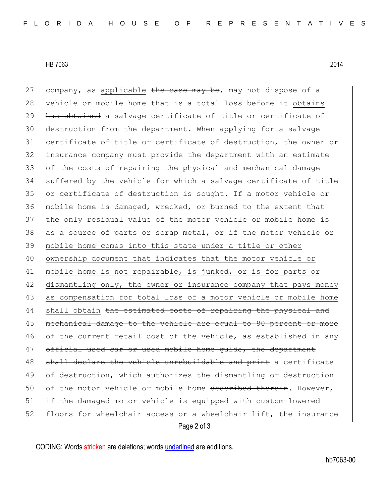HB 7063 2014

Page 2 of 3 27 company, as applicable  $\frac{1}{2}$  the case may be, may not dispose of a 28 vehicle or mobile home that is a total loss before it obtains 29 has obtained a salvage certificate of title or certificate of 30 destruction from the department. When applying for a salvage 31 certificate of title or certificate of destruction, the owner or 32 insurance company must provide the department with an estimate 33 of the costs of repairing the physical and mechanical damage 34 suffered by the vehicle for which a salvage certificate of title 35 or certificate of destruction is sought. If a motor vehicle or 36 mobile home is damaged, wrecked, or burned to the extent that 37 the only residual value of the motor vehicle or mobile home is 38 as a source of parts or scrap metal, or if the motor vehicle or 39 mobile home comes into this state under a title or other 40 ownership document that indicates that the motor vehicle or 41 mobile home is not repairable, is junked, or is for parts or 42 dismantling only, the owner or insurance company that pays money 43 as compensation for total loss of a motor vehicle or mobile home 44 shall obtain <del>the estimated costs of repairing the physical and</del> 45 mechanical damage to the vehicle are equal to 80 percent or more 46 of the current retail cost of the vehicle, as established in any 47 official used car or used mobile home quide, the department 48 shall declare the vehicle unrebuildable and print a certificate 49 of destruction, which authorizes the dismantling or destruction 50 of the motor vehicle or mobile home described therein. However, 51 if the damaged motor vehicle is equipped with custom-lowered 52 floors for wheelchair access or a wheelchair lift, the insurance

CODING: Words stricken are deletions; words underlined are additions.